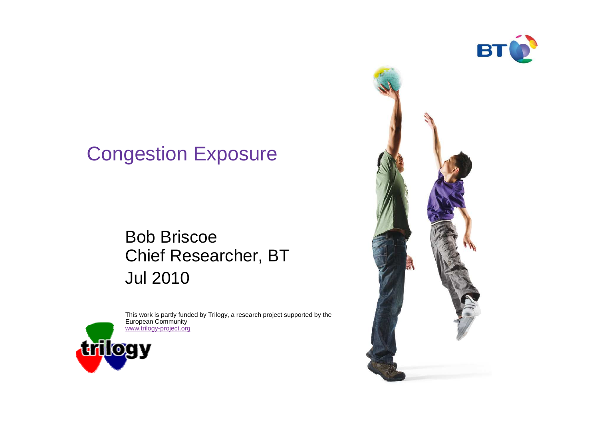

## Congestion Exposure

#### Bob Briscoe Chief Researcher, BTJul 2010



This work is partly funded by Trilogy, a research project supported by the European Community www.trilogy-project.org

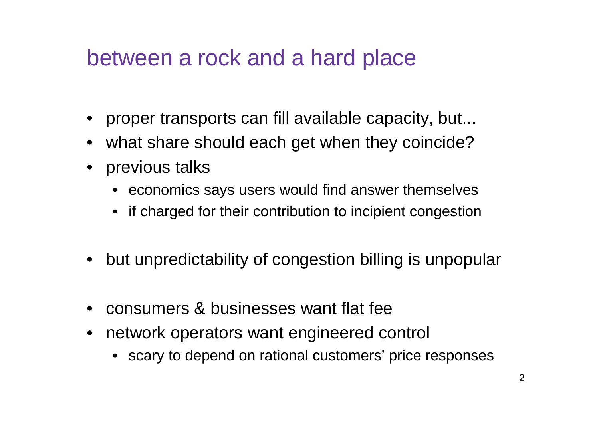## between a rock and a hard place

- proper transports can fill available capacity, but...
- what share should each get when they coincide?
- previous talks
	- economics says users would find answer themselves
	- if charged for their contribution to incipient congestion
- but unpredictability of congestion billing is unpopular
- consumers & businesses want flat fee
- network operators want engineered control
	- scary to depend on rational customers' price responses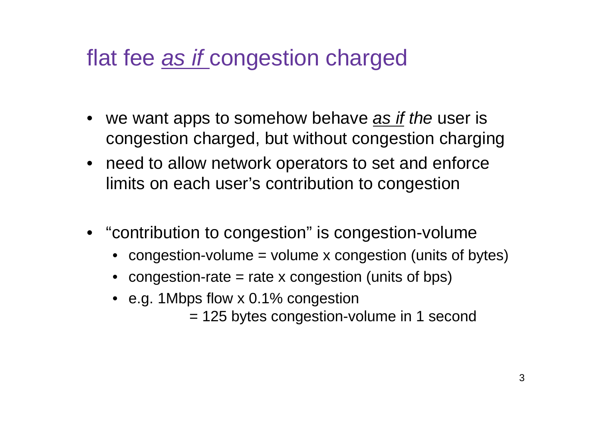## flat fee as if congestion charged

- we want apps to somehow behave <u>as if</u> the user is congestion charged, but without congestion charging
- need to allow network operators to set and enforcelimits on each user's contribution to congestion
- "contribution to congestion" is congestion-volume
	- •congestion-volume = volume x congestion (units of bytes)
	- $\bullet\;$  congestion-rate = rate x congestion (units of bps)
	- e.g. 1Mbps flow x 0.1% congestion
		- = 125 bytes congestion-volume in 1 second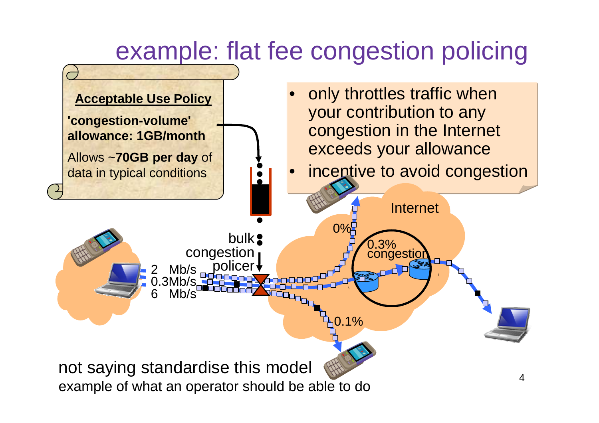# example: flat fee congestion policing

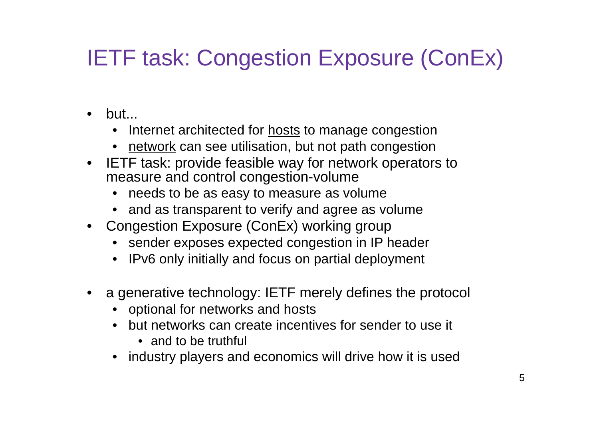# IETF task: Congestion Exposure (ConEx)

- but...
	- Internet architected for <u>hosts</u> to manage congestion
	- network can see utilisation, but not path congestion
- IETF task: provide feasible way for network operators to  $\bullet$ measure and control congestion-volume
	- needs to be as easy to measure as volume
	- and as transparent to verify and agree as volume
- Congestion Exposure (ConEx) working group
	- sender exposes expected congestion in IP header
	- IPv6 only initially and focus on partial deployment
- a generative technology: IETF merely defines the protocol
	- optional for networks and hosts
	- but networks can create incentives for sender to use it
		- and to be truthful
	- industry players and economics will drive how it is used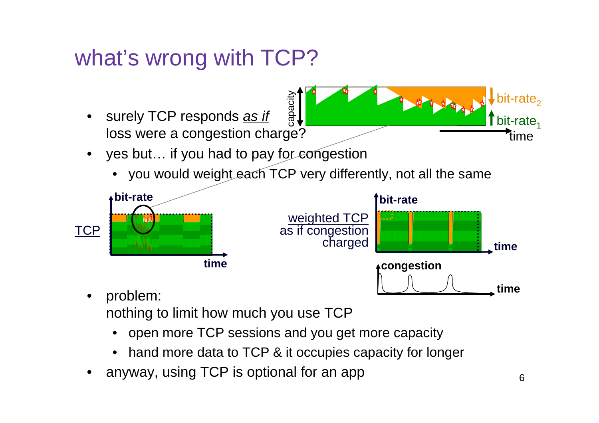## what's wrong with TCP?



•problem:

nothing to limit how much you use TCP

- open more TCP sessions and you get more capacity•
- •hand more data to TCP & it occupies capacity for longer
- •anyway, using TCP is optional for an app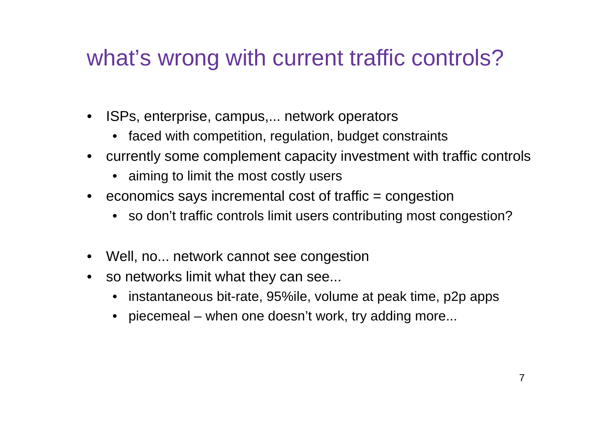## what's wrong with current traffic controls?

- • ISPs, enterprise, campus,... network operators
	- faced with competition, regulation, budget constraints
- currently some complement capacity investment with traffic controls
	- aiming to limit the most costly users
- $\bullet$   $\;$  economics says incremental cost of traffic = congestion
	- so don't traffic controls limit users contributing most congestion?
- Well, no... network cannot see congestion
- so networks limit what they can see...
	- instantaneous bit-rate, 95%ile, volume at peak time, p2p apps
	- piecemeal when one doesn't work, try adding more...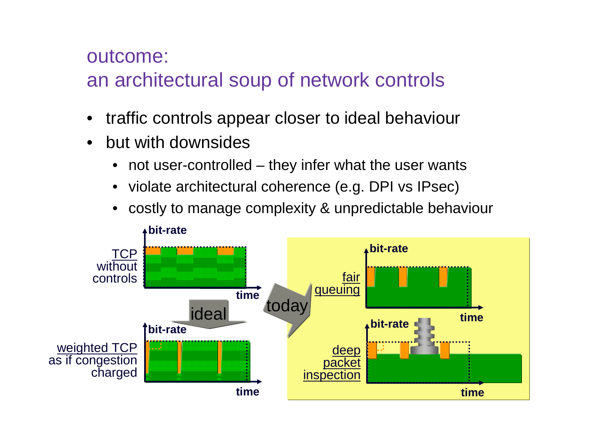#### outcome:

## an architectural soup of network controls

- •traffic controls appear closer to ideal behaviour
- • but with downsides
	- •not user-controlled – they infer what the user wants
	- violate architectural coherence (e.g. DPI vs IPsec)
	- •costly to manage complexity & unpredictable behaviour

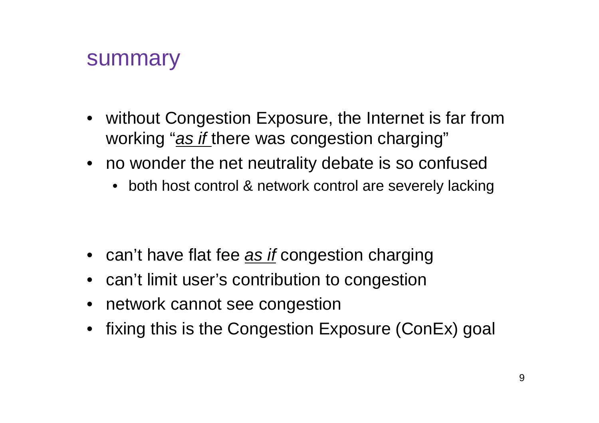### summary

- without Congestion Exposure, the Internet is far from working "as if there was congestion charging"
- no wonder the net neutrality debate is so confused
	- both host control & network control are severely lacking

- $\bullet \;$  can't have flat fee <u>as *if*</u> congestion charging
- can't limit user's contribution to congestion
- network cannot see congestion
- fixing this is the Congestion Exposure (ConEx) goal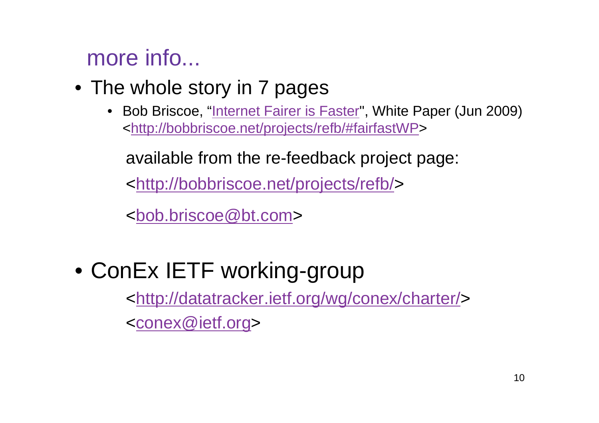## more info...

- The whole story in 7 pages
	- Bob Briscoe, "<u>Internet Fairer is Faster</u>", White Paper (Jun 2009) <http://bobbriscoe.net/projects/refb/#fairfastWP>

available from the re-feedback project page:

<http://bobbriscoe.net/projects/refb/>

<bob.briscoe@bt.com>

## • ConEx IETF working-group

<http://datatracker.ietf.org/wg/conex/charter/>

<conex@ietf.org>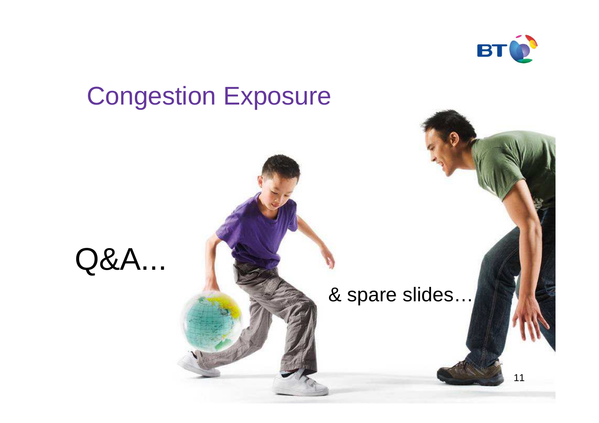

# 11Congestion ExposureQ&A...& spare slides…